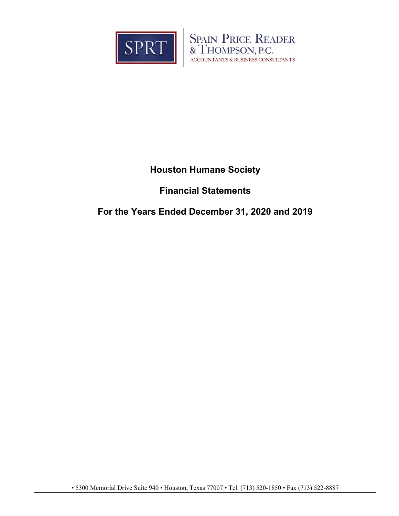

**SPAIN PRICE READER**<br>& THOMPSON, P.C.<br>accountants & business consultants

# **Houston Humane Society**

# **Financial Statements**

# **For the Years Ended December 31, 2020 and 2019**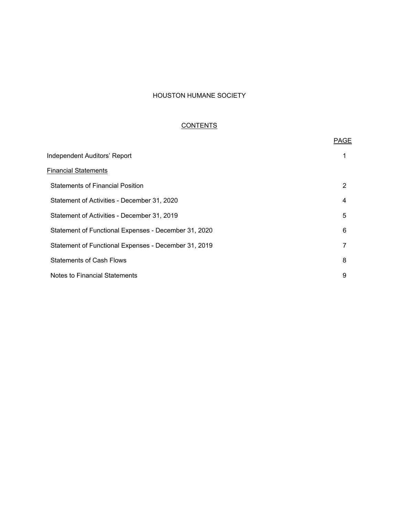# HOUSTON HUMANE SOCIETY

# **CONTENTS**

|                                                      | PAGE |
|------------------------------------------------------|------|
| Independent Auditors' Report                         |      |
| <b>Financial Statements</b>                          |      |
| <b>Statements of Financial Position</b>              | 2    |
| Statement of Activities - December 31, 2020          | 4    |
| Statement of Activities - December 31, 2019          | 5    |
| Statement of Functional Expenses - December 31, 2020 | 6    |
| Statement of Functional Expenses - December 31, 2019 |      |
| <b>Statements of Cash Flows</b>                      | 8    |
| Notes to Financial Statements                        | 9    |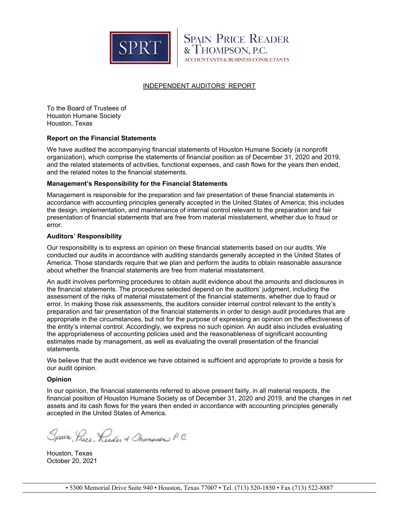

# INDEPENDENT AUDITORS' REPORT

**SPAIN PRICE READER** 

ACCOUNTANTS & BUSINESS CONSULTANTS

& THOMPSON, P.C.

To the Board of Trustees of Houston Humane Society Houston, Texas

# **Report on the Financial Statements**

We have audited the accompanying financial statements of Houston Humane Society (a nonprofit organization), which comprise the statements of financial position as of December 31, 2020 and 2019, and the related statements of activities, functional expenses, and cash flows for the years then ended, and the related notes to the financial statements.

# **Management's Responsibility for the Financial Statements**

Management is responsible for the preparation and fair presentation of these financial statements in accordance with accounting principles generally accepted in the United States of America; this includes the design, implementation, and maintenance of internal control relevant to the preparation and fair presentation of financial statements that are free from material misstatement, whether due to fraud or error.

# **Auditors' Responsibility**

Our responsibility is to express an opinion on these financial statements based on our audits. We conducted our audits in accordance with auditing standards generally accepted in the United States of America. Those standards require that we plan and perform the audits to obtain reasonable assurance about whether the financial statements are free from material misstatement.

An audit involves performing procedures to obtain audit evidence about the amounts and disclosures in the financial statements. The procedures selected depend on the auditors' judgment, including the assessment of the risks of material misstatement of the financial statements, whether due to fraud or error. In making those risk assessments, the auditors consider internal control relevant to the entity's preparation and fair presentation of the financial statements in order to design audit procedures that are appropriate in the circumstances, but not for the purpose of expressing an opinion on the effectiveness of the entity's internal control. Accordingly, we express no such opinion. An audit also includes evaluating the appropriateness of accounting policies used and the reasonableness of significant accounting estimates made by management, as well as evaluating the overall presentation of the financial statements.

We believe that the audit evidence we have obtained is sufficient and appropriate to provide a basis for our audit opinion.

# **Opinion**

In our opinion, the financial statements referred to above present fairly, in all material respects, the financial position of Houston Humane Society as of December 31, 2020 and 2019, and the changes in net assets and its cash flows for the years then ended in accordance with accounting principles generally accepted in the United States of America.

Spain, Price, Reader & Ohompson P.C.

Houston, Texas October 20, 2021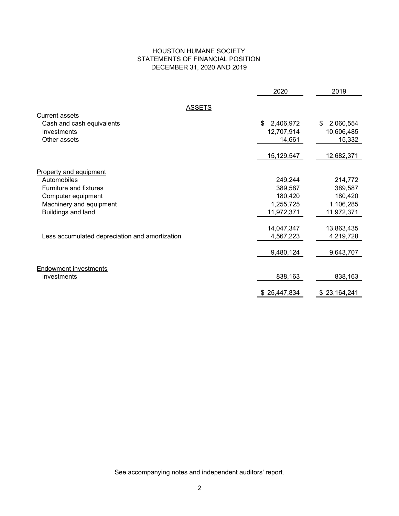# HOUSTON HUMANE SOCIETY STATEMENTS OF FINANCIAL POSITION DECEMBER 31, 2020 AND 2019

|                                                | 2020            | 2019            |
|------------------------------------------------|-----------------|-----------------|
| <b>ASSETS</b>                                  |                 |                 |
| <b>Current assets</b>                          |                 |                 |
| Cash and cash equivalents                      | \$<br>2,406,972 | \$<br>2,060,554 |
| Investments                                    | 12,707,914      | 10,606,485      |
| Other assets                                   | 14,661          | 15,332          |
|                                                | 15,129,547      | 12,682,371      |
|                                                |                 |                 |
| <b>Property and equipment</b>                  |                 |                 |
| Automobiles                                    | 249,244         | 214,772         |
| Furniture and fixtures                         | 389,587         | 389,587         |
| Computer equipment                             | 180,420         | 180,420         |
| Machinery and equipment                        | 1,255,725       | 1,106,285       |
| Buildings and land                             | 11,972,371      | 11,972,371      |
|                                                | 14,047,347      | 13,863,435      |
| Less accumulated depreciation and amortization | 4,567,223       | 4,219,728       |
|                                                |                 |                 |
|                                                | 9,480,124       | 9,643,707       |
| <b>Endowment investments</b>                   |                 |                 |
| Investments                                    | 838,163         | 838,163         |
|                                                | \$25,447,834    | \$23,164,241    |
|                                                |                 |                 |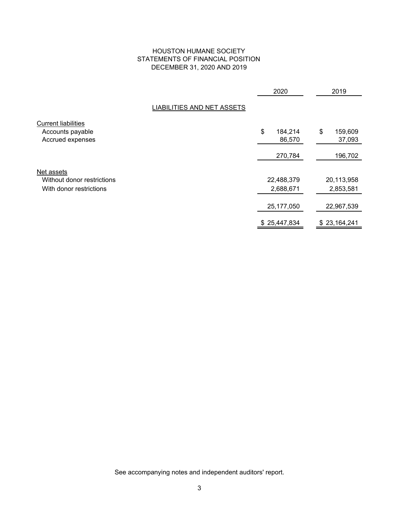# HOUSTON HUMANE SOCIETY STATEMENTS OF FINANCIAL POSITION DECEMBER 31, 2020 AND 2019

|                                                                     |                                   | 2020                    | 2019                    |  |
|---------------------------------------------------------------------|-----------------------------------|-------------------------|-------------------------|--|
|                                                                     | <b>LIABILITIES AND NET ASSETS</b> |                         |                         |  |
| <b>Current liabilities</b><br>Accounts payable<br>Accrued expenses  |                                   | \$<br>184,214<br>86,570 | \$<br>159,609<br>37,093 |  |
|                                                                     |                                   | 270,784                 | 196,702                 |  |
| Net assets<br>Without donor restrictions<br>With donor restrictions |                                   | 22,488,379<br>2,688,671 | 20,113,958<br>2,853,581 |  |
|                                                                     |                                   | 25,177,050              | 22,967,539              |  |
|                                                                     |                                   | \$25,447,834            | \$23,164,241            |  |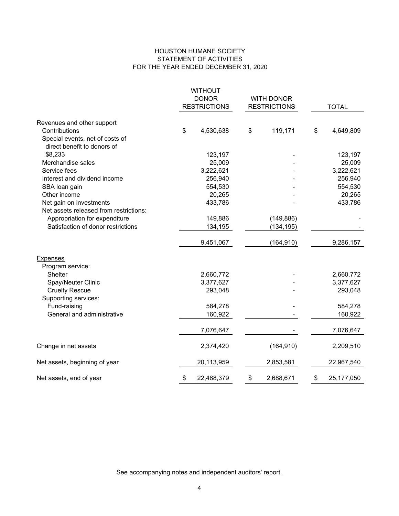# HOUSTON HUMANE SOCIETY STATEMENT OF ACTIVITIES FOR THE YEAR ENDED DECEMBER 31, 2020

|                                                                                 | <b>WITHOUT</b><br><b>DONOR</b><br><b>RESTRICTIONS</b> |    | <b>WITH DONOR</b><br><b>RESTRICTIONS</b> |    | <b>TOTAL</b> |
|---------------------------------------------------------------------------------|-------------------------------------------------------|----|------------------------------------------|----|--------------|
| Revenues and other support                                                      |                                                       |    |                                          |    |              |
| Contributions<br>Special events, net of costs of<br>direct benefit to donors of | \$<br>4,530,638                                       | \$ | 119,171                                  | \$ | 4,649,809    |
| \$8,233                                                                         | 123,197                                               |    |                                          |    | 123,197      |
| Merchandise sales                                                               | 25,009                                                |    |                                          |    | 25,009       |
| Service fees                                                                    | 3,222,621                                             |    |                                          |    | 3,222,621    |
| Interest and dividend income                                                    | 256,940                                               |    |                                          |    | 256,940      |
| SBA loan gain                                                                   | 554,530                                               |    |                                          |    | 554,530      |
| Other income                                                                    | 20,265                                                |    |                                          |    | 20,265       |
| Net gain on investments<br>Net assets released from restrictions:               | 433,786                                               |    |                                          |    | 433,786      |
| Appropriation for expenditure                                                   | 149,886                                               |    | (149, 886)                               |    |              |
| Satisfaction of donor restrictions                                              | 134,195                                               |    | (134, 195)                               |    |              |
|                                                                                 | 9,451,067                                             |    | (164, 910)                               |    | 9,286,157    |
| <b>Expenses</b>                                                                 |                                                       |    |                                          |    |              |
| Program service:                                                                |                                                       |    |                                          |    |              |
| <b>Shelter</b>                                                                  | 2,660,772                                             |    |                                          |    | 2,660,772    |
| Spay/Neuter Clinic                                                              | 3,377,627                                             |    |                                          |    | 3,377,627    |
| <b>Cruelty Rescue</b><br>Supporting services:                                   | 293,048                                               |    |                                          |    | 293,048      |
| Fund-raising                                                                    | 584,278                                               |    |                                          |    | 584,278      |
| General and administrative                                                      | 160,922                                               |    |                                          |    | 160,922      |
|                                                                                 | 7,076,647                                             |    |                                          |    | 7,076,647    |
| Change in net assets                                                            | 2,374,420                                             |    | (164, 910)                               |    | 2,209,510    |
| Net assets, beginning of year                                                   | 20,113,959                                            |    | 2,853,581                                |    | 22,967,540   |
| Net assets, end of year                                                         | \$<br>22,488,379                                      | \$ | 2,688,671                                | \$ | 25,177,050   |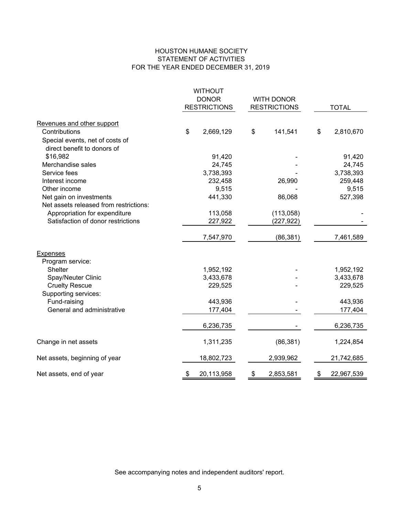# HOUSTON HUMANE SOCIETY STATEMENT OF ACTIVITIES FOR THE YEAR ENDED DECEMBER 31, 2019

|                                                                   | <b>WITHOUT</b>   | <b>DONOR</b><br><b>WITH DONOR</b><br><b>RESTRICTIONS</b><br><b>RESTRICTIONS</b> |            | <b>TOTAL</b> |            |
|-------------------------------------------------------------------|------------------|---------------------------------------------------------------------------------|------------|--------------|------------|
| Revenues and other support                                        |                  |                                                                                 |            |              |            |
| Contributions                                                     | \$<br>2,669,129  | \$                                                                              | 141,541    | \$           | 2,810,670  |
| Special events, net of costs of<br>direct benefit to donors of    |                  |                                                                                 |            |              |            |
| \$16,982                                                          |                  | 91,420                                                                          |            |              | 91,420     |
| Merchandise sales                                                 |                  | 24,745                                                                          |            |              | 24,745     |
| Service fees                                                      | 3,738,393        |                                                                                 |            |              | 3,738,393  |
| Interest income                                                   |                  | 232,458                                                                         | 26,990     |              | 259,448    |
| Other income                                                      |                  | 9,515                                                                           |            |              | 9,515      |
| Net gain on investments<br>Net assets released from restrictions: |                  | 441,330                                                                         | 86,068     |              | 527,398    |
| Appropriation for expenditure                                     |                  | 113,058                                                                         | (113,058)  |              |            |
| Satisfaction of donor restrictions                                |                  | 227,922                                                                         | (227, 922) |              |            |
|                                                                   | 7,547,970        |                                                                                 | (86, 381)  |              | 7,461,589  |
| <b>Expenses</b>                                                   |                  |                                                                                 |            |              |            |
| Program service:                                                  |                  |                                                                                 |            |              |            |
| Shelter                                                           | 1,952,192        |                                                                                 |            |              | 1,952,192  |
| Spay/Neuter Clinic                                                | 3,433,678        |                                                                                 |            |              | 3,433,678  |
| <b>Cruelty Rescue</b><br>Supporting services:                     |                  | 229,525                                                                         |            |              | 229,525    |
| Fund-raising                                                      |                  | 443,936                                                                         |            |              | 443,936    |
| General and administrative                                        |                  | 177,404                                                                         |            |              | 177,404    |
|                                                                   | 6,236,735        |                                                                                 |            |              | 6,236,735  |
| Change in net assets                                              | 1,311,235        |                                                                                 | (86, 381)  |              | 1,224,854  |
| Net assets, beginning of year                                     | 18,802,723       |                                                                                 | 2,939,962  |              | 21,742,685 |
| Net assets, end of year                                           | \$<br>20,113,958 | \$                                                                              | 2,853,581  | \$           | 22,967,539 |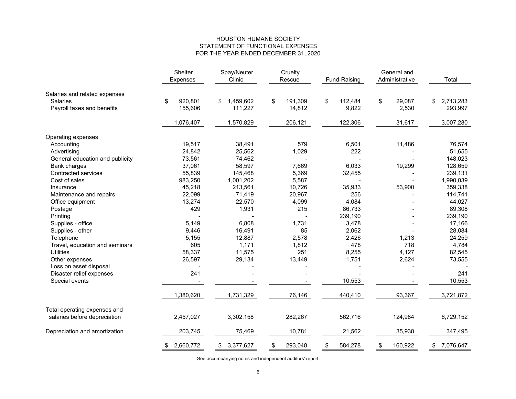#### HOUSTON HUMANE SOCIETY STATEMENT OF FUNCTIONAL EXPENSESFOR THE YEAR ENDED DECEMBER 31, 2020

|                                               | Shelter<br>Expenses      | Spay/Neuter<br>Clinic      | Cruelty<br>Rescue       | Fund-Raising           | General and<br>Administrative | Total                      |
|-----------------------------------------------|--------------------------|----------------------------|-------------------------|------------------------|-------------------------------|----------------------------|
| Salaries and related expenses                 |                          |                            |                         |                        |                               |                            |
| <b>Salaries</b><br>Payroll taxes and benefits | \$<br>920,801<br>155,606 | 1,459,602<br>\$<br>111,227 | \$<br>191,309<br>14,812 | \$<br>112,484<br>9,822 | \$<br>29,087<br>2,530         | 2,713,283<br>\$<br>293,997 |
|                                               | 1,076,407                | 1,570,829                  | 206,121                 | 122,306                | 31,617                        | 3,007,280                  |
| Operating expenses                            |                          |                            |                         |                        |                               |                            |
| Accounting                                    | 19,517                   | 38,491                     | 579                     | 6,501                  | 11,486                        | 76,574                     |
| Advertising                                   | 24,842                   | 25,562                     | 1,029                   | 222                    |                               | 51,655                     |
| General education and publicity               | 73,561                   | 74,462                     |                         |                        |                               | 148,023                    |
| <b>Bank charges</b>                           | 37,061                   | 58,597                     | 7,669                   | 6,033                  | 19,299                        | 128,659                    |
| Contracted services                           | 55,839                   | 145,468                    | 5,369                   | 32,455                 |                               | 239,131                    |
| Cost of sales                                 | 983,250                  | 1,001,202                  | 5,587                   |                        |                               | 1,990,039                  |
| Insurance                                     | 45,218                   | 213,561                    | 10,726                  | 35,933                 | 53,900                        | 359,338                    |
| Maintenance and repairs                       | 22,099                   | 71,419                     | 20,967                  | 256                    |                               | 114,741                    |
| Office equipment                              | 13,274                   | 22,570                     | 4,099                   | 4,084                  |                               | 44,027                     |
| Postage                                       | 429                      | 1,931                      | 215                     | 86,733                 |                               | 89,308                     |
| Printing                                      |                          |                            |                         | 239,190                |                               | 239,190                    |
| Supplies - office                             | 5,149                    | 6,808                      | 1,731                   | 3,478                  |                               | 17,166                     |
| Supplies - other                              | 9,446                    | 16,491                     | 85                      | 2,062                  |                               | 28,084                     |
| Telephone                                     | 5,155                    | 12,887                     | 2,578                   | 2,426                  | 1,213                         | 24,259                     |
| Travel, education and seminars                | 605                      | 1,171                      | 1,812                   | 478                    | 718                           | 4,784                      |
| <b>Utilities</b>                              | 58,337                   | 11,575                     | 251                     | 8,255                  | 4,127                         | 82,545                     |
| Other expenses                                | 26,597                   | 29,134                     | 13,449                  | 1,751                  | 2,624                         | 73,555                     |
| Loss on asset disposal                        |                          |                            |                         |                        |                               |                            |
| Disaster relief expenses                      | 241                      |                            |                         |                        |                               | 241                        |
| Special events                                |                          |                            |                         | 10,553                 |                               | 10,553                     |
|                                               | 1,380,620                | 1,731,329                  | 76,146                  | 440,410                | 93,367                        | 3,721,872                  |
| Total operating expenses and                  |                          |                            |                         |                        |                               |                            |
| salaries before depreciation                  | 2,457,027                | 3,302,158                  | 282,267                 | 562,716                | 124,984                       | 6,729,152                  |
| Depreciation and amortization                 | 203,745                  | 75,469                     | 10,781                  | 21,562                 | 35,938                        | 347,495                    |
|                                               | 2,660,772<br>\$          | 3,377,627<br>\$            | \$<br>293,048           | \$<br>584,278          | \$<br>160,922                 | 7,076,647<br>\$            |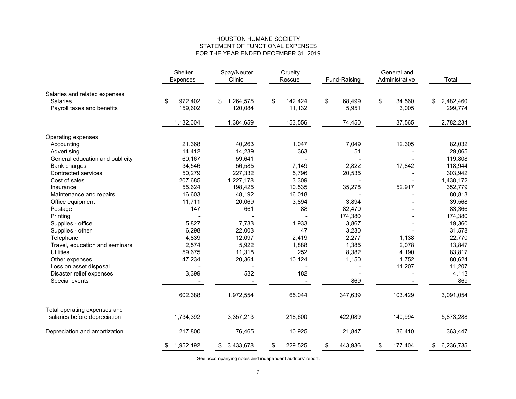#### HOUSTON HUMANE SOCIETY STATEMENT OF FUNCTIONAL EXPENSESFOR THE YEAR ENDED DECEMBER 31, 2019

|                                                  | Shelter<br><b>Expenses</b> | Spay/Neuter<br>Clinic | Cruelty<br>Rescue | Fund-Raising  | General and<br>Administrative | Total           |
|--------------------------------------------------|----------------------------|-----------------------|-------------------|---------------|-------------------------------|-----------------|
| Salaries and related expenses<br><b>Salaries</b> | \$<br>972,402              | 1,264,575<br>\$       | \$<br>142,424     | \$<br>68,499  | \$<br>34,560                  | 2,482,460<br>\$ |
| Payroll taxes and benefits                       | 159,602                    | 120,084               | 11,132            | 5,951         | 3,005                         | 299,774         |
|                                                  | 1,132,004                  | 1,384,659             | 153,556           | 74,450        | 37,565                        | 2,782,234       |
| Operating expenses                               |                            |                       |                   |               |                               |                 |
| Accounting                                       | 21,368                     | 40,263                | 1,047             | 7,049         | 12,305                        | 82,032          |
| Advertising                                      | 14,412                     | 14,239                | 363               | 51            |                               | 29,065          |
| General education and publicity                  | 60,167                     | 59,641                |                   |               |                               | 119,808         |
| <b>Bank charges</b>                              | 34,546                     | 56,585                | 7,149             | 2,822         | 17,842                        | 118,944         |
| Contracted services                              | 50,279                     | 227,332               | 5,796             | 20,535        |                               | 303,942         |
| Cost of sales                                    | 207,685                    | 1,227,178             | 3,309             |               |                               | 1,438,172       |
| Insurance                                        | 55,624                     | 198,425               | 10,535            | 35,278        | 52,917                        | 352,779         |
| Maintenance and repairs                          | 16,603                     | 48,192                | 16,018            |               |                               | 80,813          |
| Office equipment                                 | 11,711                     | 20,069                | 3,894             | 3,894         |                               | 39,568          |
| Postage                                          | 147                        | 661                   | 88                | 82,470        |                               | 83,366          |
| Printing                                         |                            |                       |                   | 174,380       |                               | 174,380         |
| Supplies - office                                | 5,827                      | 7,733                 | 1,933             | 3,867         |                               | 19,360          |
| Supplies - other                                 | 6,298                      | 22,003                | 47                | 3,230         |                               | 31,578          |
| Telephone                                        | 4,839                      | 12,097                | 2,419             | 2,277         | 1,138                         | 22,770          |
| Travel, education and seminars                   | 2,574                      | 5,922                 | 1,888             | 1,385         | 2,078                         | 13,847          |
| <b>Utilities</b>                                 | 59,675                     | 11,318                | 252               | 8,382         | 4,190                         | 83,817          |
| Other expenses                                   | 47,234                     | 20,364                | 10,124            | 1,150         | 1,752                         | 80,624          |
| Loss on asset disposal                           |                            |                       |                   |               | 11,207                        | 11,207          |
| Disaster relief expenses                         | 3,399                      | 532                   | 182               |               |                               | 4,113           |
| Special events                                   |                            |                       |                   | 869           |                               | 869             |
|                                                  | 602,388                    | 1,972,554             | 65,044            | 347,639       | 103,429                       | 3,091,054       |
| Total operating expenses and                     |                            |                       |                   |               |                               |                 |
| salaries before depreciation                     | 1,734,392                  | 3,357,213             | 218,600           | 422,089       | 140,994                       | 5,873,288       |
| Depreciation and amortization                    | 217,800                    | 76,465                | 10,925            | 21,847        | 36,410                        | 363,447         |
|                                                  | 1,952,192<br>\$            | 3,433,678<br>\$       | \$<br>229,525     | \$<br>443,936 | \$<br>177,404                 | 6,236,735<br>\$ |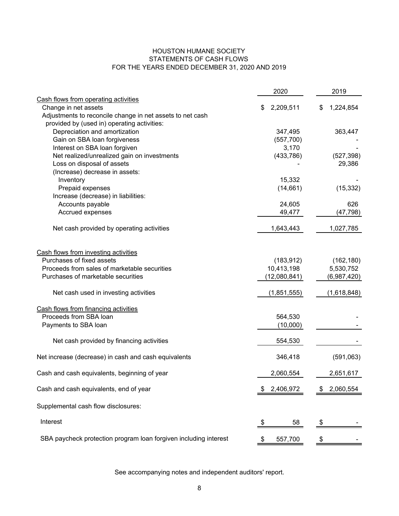# HOUSTON HUMANE SOCIETY STATEMENTS OF CASH FLOWS FOR THE YEARS ENDED DECEMBER 31, 2020 AND 2019

|                                                                              | 2020            | 2019            |
|------------------------------------------------------------------------------|-----------------|-----------------|
| Cash flows from operating activities                                         |                 |                 |
| Change in net assets                                                         | 2,209,511<br>S. | 1,224,854<br>\$ |
| Adjustments to reconcile change in net assets to net cash                    |                 |                 |
| provided by (used in) operating activities:<br>Depreciation and amortization | 347,495         | 363,447         |
| Gain on SBA loan forgiveness                                                 | (557,700)       |                 |
| Interest on SBA loan forgiven                                                | 3,170           |                 |
| Net realized/unrealized gain on investments                                  | (433, 786)      | (527, 398)      |
| Loss on disposal of assets                                                   |                 | 29,386          |
| (Increase) decrease in assets:                                               |                 |                 |
| Inventory                                                                    | 15,332          |                 |
| Prepaid expenses                                                             | (14, 661)       | (15, 332)       |
| Increase (decrease) in liabilities:                                          |                 |                 |
| Accounts payable                                                             | 24,605          | 626             |
| Accrued expenses                                                             | 49,477          | (47, 798)       |
| Net cash provided by operating activities                                    | 1,643,443       | 1,027,785       |
| Cash flows from investing activities                                         |                 |                 |
| Purchases of fixed assets                                                    | (183, 912)      | (162, 180)      |
| Proceeds from sales of marketable securities                                 | 10,413,198      | 5,530,752       |
| Purchases of marketable securities                                           | (12,080,841)    | (6,987,420)     |
| Net cash used in investing activities                                        | (1,851,555)     | (1,618,848)     |
| Cash flows from financing activities                                         |                 |                 |
| Proceeds from SBA loan                                                       | 564,530         |                 |
| Payments to SBA loan                                                         | (10,000)        |                 |
| Net cash provided by financing activities                                    | 554,530         |                 |
| Net increase (decrease) in cash and cash equivalents                         | 346,418         | (591,063)       |
| Cash and cash equivalents, beginning of year                                 | 2,060,554       | 2,651,617       |
| Cash and cash equivalents, end of year                                       | 2,406,972       | 2,060,554       |
| Supplemental cash flow disclosures:                                          |                 |                 |
| Interest                                                                     | \$<br>58        | \$              |
| SBA paycheck protection program loan forgiven including interest             | \$<br>557,700   | \$              |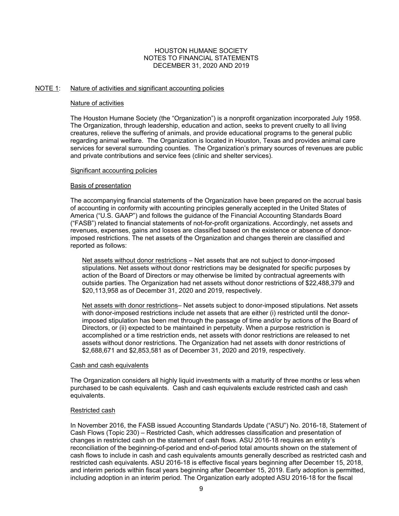# NOTE 1: Nature of activities and significant accounting policies

#### Nature of activities

The Houston Humane Society (the "Organization") is a nonprofit organization incorporated July 1958. The Organization, through leadership, education and action, seeks to prevent cruelty to all living creatures, relieve the suffering of animals, and provide educational programs to the general public regarding animal welfare. The Organization is located in Houston, Texas and provides animal care services for several surrounding counties. The Organization's primary sources of revenues are public and private contributions and service fees (clinic and shelter services).

#### Significant accounting policies

#### Basis of presentation

The accompanying financial statements of the Organization have been prepared on the accrual basis of accounting in conformity with accounting principles generally accepted in the United States of America ("U.S. GAAP") and follows the guidance of the Financial Accounting Standards Board ("FASB") related to financial statements of not-for-profit organizations. Accordingly, net assets and revenues, expenses, gains and losses are classified based on the existence or absence of donorimposed restrictions. The net assets of the Organization and changes therein are classified and reported as follows:

Net assets without donor restrictions – Net assets that are not subject to donor-imposed stipulations. Net assets without donor restrictions may be designated for specific purposes by action of the Board of Directors or may otherwise be limited by contractual agreements with outside parties. The Organization had net assets without donor restrictions of \$22,488,379 and \$20,113,958 as of December 31, 2020 and 2019, respectively.

Net assets with donor restrictions– Net assets subject to donor-imposed stipulations. Net assets with donor-imposed restrictions include net assets that are either (i) restricted until the donorimposed stipulation has been met through the passage of time and/or by actions of the Board of Directors, or (ii) expected to be maintained in perpetuity. When a purpose restriction is accomplished or a time restriction ends, net assets with donor restrictions are released to net assets without donor restrictions. The Organization had net assets with donor restrictions of \$2,688,671 and \$2,853,581 as of December 31, 2020 and 2019, respectively.

#### Cash and cash equivalents

The Organization considers all highly liquid investments with a maturity of three months or less when purchased to be cash equivalents. Cash and cash equivalents exclude restricted cash and cash equivalents.

# Restricted cash

In November 2016, the FASB issued Accounting Standards Update ("ASU") No. 2016-18, Statement of Cash Flows (Topic 230) – Restricted Cash, which addresses classification and presentation of changes in restricted cash on the statement of cash flows. ASU 2016-18 requires an entity's reconciliation of the beginning-of-period and end-of-period total amounts shown on the statement of cash flows to include in cash and cash equivalents amounts generally described as restricted cash and restricted cash equivalents. ASU 2016-18 is effective fiscal years beginning after December 15, 2018, and interim periods within fiscal years beginning after December 15, 2019. Early adoption is permitted, including adoption in an interim period. The Organization early adopted ASU 2016-18 for the fiscal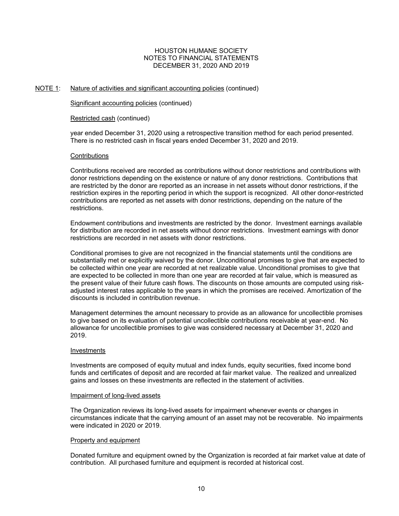# NOTE 1: Nature of activities and significant accounting policies (continued)

Significant accounting policies (continued)

#### Restricted cash (continued)

year ended December 31, 2020 using a retrospective transition method for each period presented. There is no restricted cash in fiscal years ended December 31, 2020 and 2019.

#### **Contributions**

Contributions received are recorded as contributions without donor restrictions and contributions with donor restrictions depending on the existence or nature of any donor restrictions. Contributions that are restricted by the donor are reported as an increase in net assets without donor restrictions, if the restriction expires in the reporting period in which the support is recognized. All other donor-restricted contributions are reported as net assets with donor restrictions, depending on the nature of the restrictions.

Endowment contributions and investments are restricted by the donor. Investment earnings available for distribution are recorded in net assets without donor restrictions. Investment earnings with donor restrictions are recorded in net assets with donor restrictions.

Conditional promises to give are not recognized in the financial statements until the conditions are substantially met or explicitly waived by the donor. Unconditional promises to give that are expected to be collected within one year are recorded at net realizable value. Unconditional promises to give that are expected to be collected in more than one year are recorded at fair value, which is measured as the present value of their future cash flows. The discounts on those amounts are computed using riskadjusted interest rates applicable to the years in which the promises are received. Amortization of the discounts is included in contribution revenue.

Management determines the amount necessary to provide as an allowance for uncollectible promises to give based on its evaluation of potential uncollectible contributions receivable at year-end. No allowance for uncollectible promises to give was considered necessary at December 31, 2020 and 2019.

#### Investments

Investments are composed of equity mutual and index funds, equity securities, fixed income bond funds and certificates of deposit and are recorded at fair market value. The realized and unrealized gains and losses on these investments are reflected in the statement of activities.

#### Impairment of long-lived assets

The Organization reviews its long-lived assets for impairment whenever events or changes in circumstances indicate that the carrying amount of an asset may not be recoverable. No impairments were indicated in 2020 or 2019.

#### Property and equipment

Donated furniture and equipment owned by the Organization is recorded at fair market value at date of contribution. All purchased furniture and equipment is recorded at historical cost.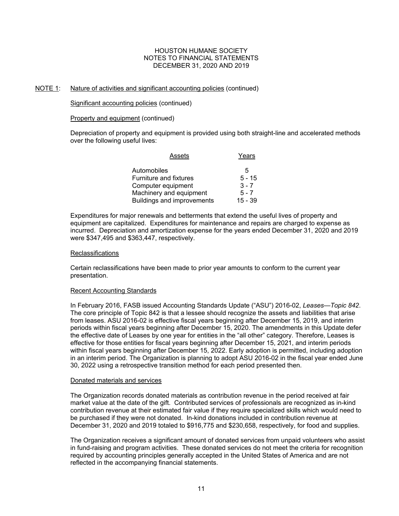# NOTE 1: Nature of activities and significant accounting policies (continued)

Significant accounting policies (continued)

Property and equipment (continued)

Depreciation of property and equipment is provided using both straight-line and accelerated methods over the following useful lives:

| Assets                            | Years     |
|-----------------------------------|-----------|
| Automobiles                       | 5         |
| Furniture and fixtures            | $5 - 15$  |
| Computer equipment                | $3 - 7$   |
| Machinery and equipment           | $5 - 7$   |
| <b>Buildings and improvements</b> | $15 - 39$ |

Expenditures for major renewals and betterments that extend the useful lives of property and equipment are capitalized. Expenditures for maintenance and repairs are charged to expense as incurred. Depreciation and amortization expense for the years ended December 31, 2020 and 2019 were \$347,495 and \$363,447, respectively.

#### Reclassifications

Certain reclassifications have been made to prior year amounts to conform to the current year presentation.

#### Recent Accounting Standards

In February 2016, FASB issued Accounting Standards Update ("ASU") 2016-02, *Leases—Topic 842*. The core principle of Topic 842 is that a lessee should recognize the assets and liabilities that arise from leases. ASU 2016-02 is effective fiscal years beginning after December 15, 2019, and interim periods within fiscal years beginning after December 15, 2020. The amendments in this Update defer the effective date of Leases by one year for entities in the "all other" category. Therefore, Leases is effective for those entities for fiscal years beginning after December 15, 2021, and interim periods within fiscal years beginning after December 15, 2022. Early adoption is permitted, including adoption in an interim period. The Organization is planning to adopt ASU 2016-02 in the fiscal year ended June 30, 2022 using a retrospective transition method for each period presented then.

#### Donated materials and services

The Organization records donated materials as contribution revenue in the period received at fair market value at the date of the gift. Contributed services of professionals are recognized as in-kind contribution revenue at their estimated fair value if they require specialized skills which would need to be purchased if they were not donated. In-kind donations included in contribution revenue at December 31, 2020 and 2019 totaled to \$916,775 and \$230,658, respectively, for food and supplies.

The Organization receives a significant amount of donated services from unpaid volunteers who assist in fund-raising and program activities. These donated services do not meet the criteria for recognition required by accounting principles generally accepted in the United States of America and are not reflected in the accompanying financial statements.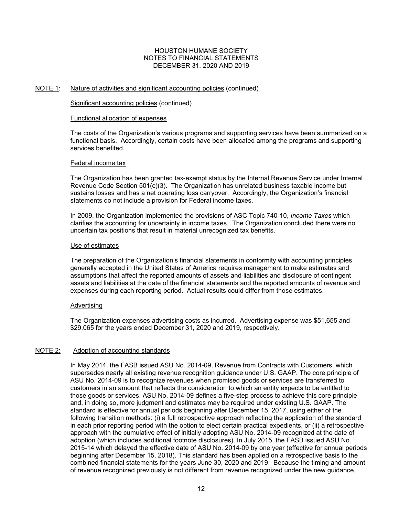# NOTE 1: Nature of activities and significant accounting policies (continued)

# Significant accounting policies (continued)

#### Functional allocation of expenses

The costs of the Organization's various programs and supporting services have been summarized on a functional basis. Accordingly, certain costs have been allocated among the programs and supporting services benefited.

#### Federal income tax

The Organization has been granted tax-exempt status by the Internal Revenue Service under Internal Revenue Code Section 501(c)(3). The Organization has unrelated business taxable income but sustains losses and has a net operating loss carryover. Accordingly, the Organization's financial statements do not include a provision for Federal income taxes.

In 2009, the Organization implemented the provisions of ASC Topic 740-10, *Income Taxes* which clarifies the accounting for uncertainty in income taxes. The Organization concluded there were no uncertain tax positions that result in material unrecognized tax benefits.

#### Use of estimates

The preparation of the Organization's financial statements in conformity with accounting principles generally accepted in the United States of America requires management to make estimates and assumptions that affect the reported amounts of assets and liabilities and disclosure of contingent assets and liabilities at the date of the financial statements and the reported amounts of revenue and expenses during each reporting period. Actual results could differ from those estimates.

# Advertising

The Organization expenses advertising costs as incurred. Advertising expense was \$51,655 and \$29,065 for the years ended December 31, 2020 and 2019, respectively.

# NOTE 2: Adoption of accounting standards

In May 2014, the FASB issued ASU No. 2014-09, Revenue from Contracts with Customers, which supersedes nearly all existing revenue recognition guidance under U.S. GAAP. The core principle of ASU No. 2014-09 is to recognize revenues when promised goods or services are transferred to customers in an amount that reflects the consideration to which an entity expects to be entitled to those goods or services. ASU No. 2014-09 defines a five-step process to achieve this core principle and, in doing so, more judgment and estimates may be required under existing U.S. GAAP. The standard is effective for annual periods beginning after December 15, 2017, using either of the following transition methods: (i) a full retrospective approach reflecting the application of the standard in each prior reporting period with the option to elect certain practical expedients, or (ii) a retrospective approach with the cumulative effect of initially adopting ASU No. 2014-09 recognized at the date of adoption (which includes additional footnote disclosures). In July 2015, the FASB issued ASU No. 2015-14 which delayed the effective date of ASU No. 2014-09 by one year (effective for annual periods beginning after December 15, 2018). This standard has been applied on a retrospective basis to the combined financial statements for the years June 30, 2020 and 2019. Because the timing and amount of revenue recognized previously is not different from revenue recognized under the new guidance,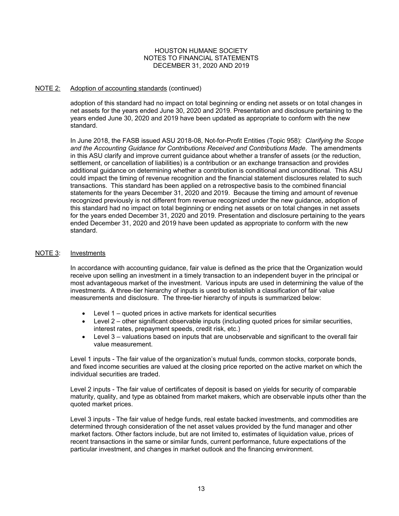# NOTE 2: Adoption of accounting standards (continued)

adoption of this standard had no impact on total beginning or ending net assets or on total changes in net assets for the years ended June 30, 2020 and 2019. Presentation and disclosure pertaining to the years ended June 30, 2020 and 2019 have been updated as appropriate to conform with the new standard.

In June 2018, the FASB issued ASU 2018-08, Not-for-Profit Entities (Topic 958): *Clarifying the Scope and the Accounting Guidance for Contributions Received and Contributions Made*. The amendments in this ASU clarify and improve current guidance about whether a transfer of assets (or the reduction, settlement, or cancellation of liabilities) is a contribution or an exchange transaction and provides additional guidance on determining whether a contribution is conditional and unconditional. This ASU could impact the timing of revenue recognition and the financial statement disclosures related to such transactions. This standard has been applied on a retrospective basis to the combined financial statements for the years December 31, 2020 and 2019. Because the timing and amount of revenue recognized previously is not different from revenue recognized under the new guidance, adoption of this standard had no impact on total beginning or ending net assets or on total changes in net assets for the years ended December 31, 2020 and 2019. Presentation and disclosure pertaining to the years ended December 31, 2020 and 2019 have been updated as appropriate to conform with the new standard.

# NOTE 3: Investments

In accordance with accounting guidance, fair value is defined as the price that the Organization would receive upon selling an investment in a timely transaction to an independent buyer in the principal or most advantageous market of the investment. Various inputs are used in determining the value of the investments. A three-tier hierarchy of inputs is used to establish a classification of fair value measurements and disclosure. The three-tier hierarchy of inputs is summarized below:

- Level 1 quoted prices in active markets for identical securities
- Level 2 other significant observable inputs (including quoted prices for similar securities, interest rates, prepayment speeds, credit risk, etc.)
- Level 3 valuations based on inputs that are unobservable and significant to the overall fair value measurement.

Level 1 inputs - The fair value of the organization's mutual funds, common stocks, corporate bonds, and fixed income securities are valued at the closing price reported on the active market on which the individual securities are traded.

Level 2 inputs - The fair value of certificates of deposit is based on yields for security of comparable maturity, quality, and type as obtained from market makers, which are observable inputs other than the quoted market prices.

Level 3 inputs - The fair value of hedge funds, real estate backed investments, and commodities are determined through consideration of the net asset values provided by the fund manager and other market factors. Other factors include, but are not limited to, estimates of liquidation value, prices of recent transactions in the same or similar funds, current performance, future expectations of the particular investment, and changes in market outlook and the financing environment.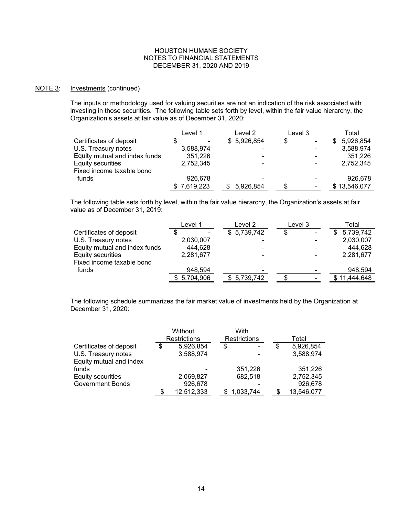#### NOTE 3: Investments (continued)

The inputs or methodology used for valuing securities are not an indication of the risk associated with investing in those securities. The following table sets forth by level, within the fair value hierarchy, the Organization's assets at fair value as of December 31, 2020:

|                               | Level 1   | Level 2     | Level 3 | Total        |
|-------------------------------|-----------|-------------|---------|--------------|
| Certificates of deposit       |           | \$5,926,854 |         | 5,926,854    |
| U.S. Treasury notes           | 3,588,974 |             |         | 3,588,974    |
| Equity mutual and index funds | 351,226   |             |         | 351,226      |
| Equity securities             | 2,752,345 |             |         | 2,752,345    |
| Fixed income taxable bond     |           |             |         |              |
| funds                         | 926,678   |             |         | 926,678      |
|                               | 7,619,223 | 5,926,854   |         | \$13,546,077 |

The following table sets forth by level, within the fair value hierarchy, the Organization's assets at fair value as of December 31, 2019:

| Level 1        | Level 2     | Level 3 |  | Total      |
|----------------|-------------|---------|--|------------|
| $\blacksquare$ | \$5,739,742 |         |  | 5,739,742  |
| 2,030,007      |             |         |  | 2,030,007  |
| 444,628        |             |         |  | 444,628    |
| 2,281,677      |             |         |  | 2,281,677  |
|                |             |         |  |            |
| 948.594        | -           |         |  | 948,594    |
| \$5,704,906    | 5,739,742   |         |  | 11,444,648 |
|                |             |         |  |            |

The following schedule summarizes the fair market value of investments held by the Organization at December 31, 2020:

|                         | Without |                     | With |              |   |            |
|-------------------------|---------|---------------------|------|--------------|---|------------|
|                         |         | <b>Restrictions</b> |      | Restrictions |   | Total      |
| Certificates of deposit | \$      | 5,926,854           | \$   |              | S | 5,926,854  |
| U.S. Treasury notes     |         | 3,588,974           |      |              |   | 3,588,974  |
| Equity mutual and index |         |                     |      |              |   |            |
| funds                   |         |                     |      | 351,226      |   | 351.226    |
| Equity securities       |         | 2,069,827           |      | 682,518      |   | 2,752,345  |
| <b>Government Bonds</b> |         | 926,678             |      |              |   | 926,678    |
|                         |         | 12,512,333          |      | 1,033,744    |   | 13,546,077 |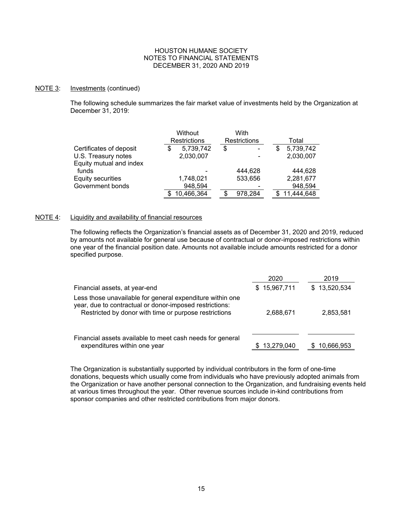# NOTE 3: Investments (continued)

The following schedule summarizes the fair market value of investments held by the Organization at December 31, 2019:

|                                                | Without<br><b>Restrictions</b> | With<br><b>Restrictions</b> | Total           |
|------------------------------------------------|--------------------------------|-----------------------------|-----------------|
| Certificates of deposit                        | \$<br>5,739,742                | \$                          | \$<br>5,739,742 |
| U.S. Treasury notes<br>Equity mutual and index | 2,030,007                      |                             | 2,030,007       |
| funds                                          |                                | 444,628                     | 444,628         |
| Equity securities                              | 1,748,021                      | 533,656                     | 2,281,677       |
| Government bonds                               | 948,594                        |                             | 948,594         |
|                                                | 10,466,364                     | \$<br>978,284               | 11,444,648      |

# NOTE 4: Liquidity and availability of financial resources

The following reflects the Organization's financial assets as of December 31, 2020 and 2019, reduced by amounts not available for general use because of contractual or donor-imposed restrictions within one year of the financial position date. Amounts not available include amounts restricted for a donor specified purpose.

|                                                                                                                                                                               | 2020         | 2019         |
|-------------------------------------------------------------------------------------------------------------------------------------------------------------------------------|--------------|--------------|
| Financial assets, at year-end                                                                                                                                                 | \$15,967,711 | \$13,520,534 |
| Less those unavailable for general expenditure within one<br>year, due to contractual or donor-imposed restrictions:<br>Restricted by donor with time or purpose restrictions | 2,688,671    | 2,853,581    |
| Financial assets available to meet cash needs for general                                                                                                                     |              |              |
| expenditures within one year                                                                                                                                                  | 13,279,040   | 10,666,953   |

The Organization is substantially supported by individual contributors in the form of one-time donations, bequests which usually come from individuals who have previously adopted animals from the Organization or have another personal connection to the Organization, and fundraising events held at various times throughout the year. Other revenue sources include in-kind contributions from sponsor companies and other restricted contributions from major donors.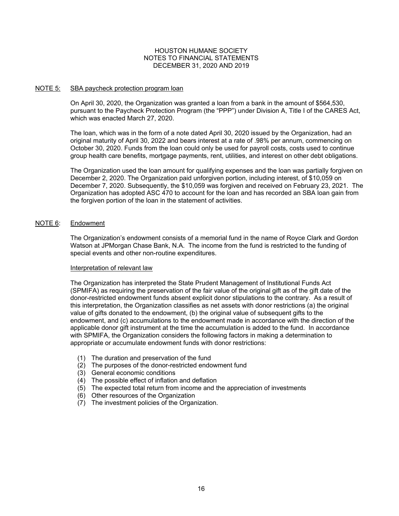# NOTE 5: SBA paycheck protection program loan

On April 30, 2020, the Organization was granted a loan from a bank in the amount of \$564,530, pursuant to the Paycheck Protection Program (the "PPP") under Division A, Title I of the CARES Act, which was enacted March 27, 2020.

The loan, which was in the form of a note dated April 30, 2020 issued by the Organization, had an original maturity of April 30, 2022 and bears interest at a rate of .98% per annum, commencing on October 30, 2020. Funds from the loan could only be used for payroll costs, costs used to continue group health care benefits, mortgage payments, rent, utilities, and interest on other debt obligations.

The Organization used the loan amount for qualifying expenses and the loan was partially forgiven on December 2, 2020. The Organization paid unforgiven portion, including interest, of \$10,059 on December 7, 2020. Subsequently, the \$10,059 was forgiven and received on February 23, 2021. The Organization has adopted ASC 470 to account for the loan and has recorded an SBA loan gain from the forgiven portion of the loan in the statement of activities.

# NOTE 6: Endowment

The Organization's endowment consists of a memorial fund in the name of Royce Clark and Gordon Watson at JPMorgan Chase Bank, N.A. The income from the fund is restricted to the funding of special events and other non-routine expenditures.

# Interpretation of relevant law

The Organization has interpreted the State Prudent Management of Institutional Funds Act (SPMIFA) as requiring the preservation of the fair value of the original gift as of the gift date of the donor-restricted endowment funds absent explicit donor stipulations to the contrary. As a result of this interpretation, the Organization classifies as net assets with donor restrictions (a) the original value of gifts donated to the endowment, (b) the original value of subsequent gifts to the endowment, and (c) accumulations to the endowment made in accordance with the direction of the applicable donor gift instrument at the time the accumulation is added to the fund. In accordance with SPMIFA, the Organization considers the following factors in making a determination to appropriate or accumulate endowment funds with donor restrictions:

- (1) The duration and preservation of the fund
- (2) The purposes of the donor-restricted endowment fund
- (3) General economic conditions
- (4) The possible effect of inflation and deflation
- $(5)$  The expected total return from income and the appreciation of investments
- (6) Other resources of the Organization
- (7) The investment policies of the Organization.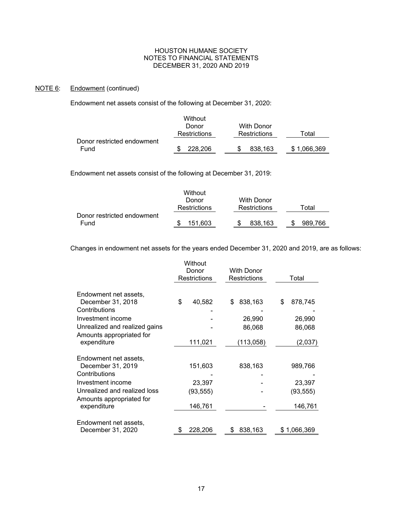# NOTE 6: Endowment (continued)

Endowment net assets consist of the following at December 31, 2020:

|                            | Without             |                     |             |
|----------------------------|---------------------|---------------------|-------------|
|                            | Donor               | With Donor          |             |
|                            | <b>Restrictions</b> | <b>Restrictions</b> | Total       |
| Donor restricted endowment |                     |                     |             |
| Fund                       | 228,206             | 838,163             | \$1,066,369 |

Endowment net assets consist of the following at December 31, 2019:

|                            | Without             |                   |         |
|----------------------------|---------------------|-------------------|---------|
|                            | Donor               | <b>With Donor</b> |         |
|                            | <b>Restrictions</b> | Restrictions      | Total   |
| Donor restricted endowment |                     |                   |         |
| Fund                       | 151.603             | 838,163           | 989,766 |

Changes in endowment net assets for the years ended December 31, 2020 and 2019, are as follows:

|                                                                                                                                                              |    | Without<br>Donor<br>Restrictions         |    | <b>With Donor</b><br><b>Restrictions</b>  | Total                                        |
|--------------------------------------------------------------------------------------------------------------------------------------------------------------|----|------------------------------------------|----|-------------------------------------------|----------------------------------------------|
| Endowment net assets,<br>December 31, 2018<br>Contributions<br>Investment income<br>Unrealized and realized gains<br>Amounts appropriated for<br>expenditure | \$ | 40,582<br>111,021                        | \$ | 838,163<br>26,990<br>86,068<br>(113, 058) | \$<br>878,745<br>26,990<br>86,068<br>(2,037) |
| Endowment net assets,<br>December 31, 2019<br>Contributions<br>Investment income<br>Unrealized and realized loss<br>Amounts appropriated for<br>expenditure  |    | 151,603<br>23,397<br>(93,555)<br>146,761 |    | 838,163                                   | 989,766<br>23,397<br>(93,555)<br>146,761     |
| Endowment net assets,<br>December 31, 2020                                                                                                                   | S  | 228,206                                  | S  | 838,163                                   | \$1,066,369                                  |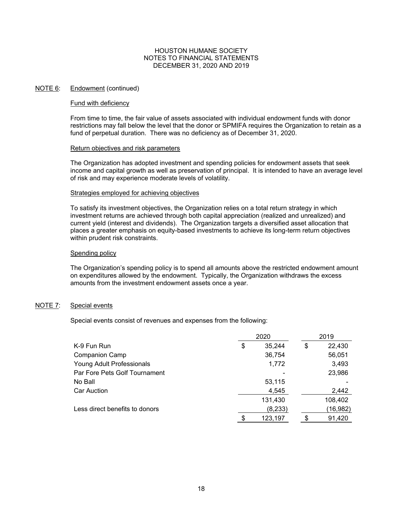# NOTE 6: Endowment (continued)

### Fund with deficiency

From time to time, the fair value of assets associated with individual endowment funds with donor restrictions may fall below the level that the donor or SPMIFA requires the Organization to retain as a fund of perpetual duration. There was no deficiency as of December 31, 2020.

#### Return objectives and risk parameters

The Organization has adopted investment and spending policies for endowment assets that seek income and capital growth as well as preservation of principal. It is intended to have an average level of risk and may experience moderate levels of volatility.

# Strategies employed for achieving objectives

To satisfy its investment objectives, the Organization relies on a total return strategy in which investment returns are achieved through both capital appreciation (realized and unrealized) and current yield (interest and dividends). The Organization targets a diversified asset allocation that places a greater emphasis on equity-based investments to achieve its long-term return objectives within prudent risk constraints.

#### Spending policy

The Organization's spending policy is to spend all amounts above the restricted endowment amount on expenditures allowed by the endowment. Typically, the Organization withdraws the excess amounts from the investment endowment assets once a year.

# NOTE 7: Special events

Special events consist of revenues and expenses from the following:

|                                | 2020 |         |    | 2019     |  |
|--------------------------------|------|---------|----|----------|--|
| K-9 Fun Run                    | \$   | 35,244  | \$ | 22,430   |  |
| <b>Companion Camp</b>          |      | 36,754  |    | 56,051   |  |
| Young Adult Professionals      |      | 1,772   |    | 3,493    |  |
| Par Fore Pets Golf Tournament  |      |         |    | 23,986   |  |
| No Ball                        |      | 53,115  |    |          |  |
| <b>Car Auction</b>             |      | 4,545   |    | 2,442    |  |
|                                |      | 131,430 |    | 108,402  |  |
| Less direct benefits to donors |      | (8,233) |    | (16,982) |  |
|                                |      | 123,197 |    | 91,420   |  |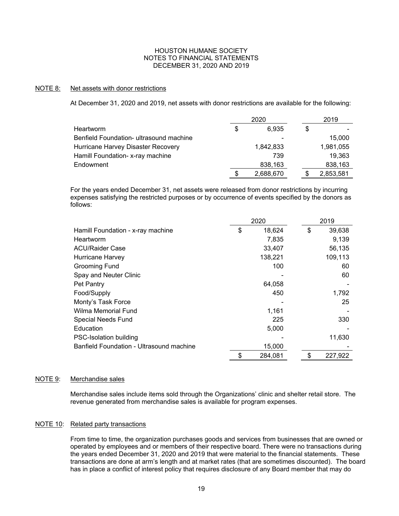# NOTE 8: Net assets with donor restrictions

At December 31, 2020 and 2019, net assets with donor restrictions are available for the following:

|                                         |    | 2020      |    | 2019      |  |  |
|-----------------------------------------|----|-----------|----|-----------|--|--|
| Heartworm                               | \$ | 6.935     | \$ |           |  |  |
| Benfield Foundation- ultrasound machine |    |           |    | 15,000    |  |  |
| Hurricane Harvey Disaster Recovery      |    | 1,842,833 |    | 1,981,055 |  |  |
| Hamill Foundation- x-ray machine        |    | 739       |    | 19,363    |  |  |
| Endowment                               |    | 838,163   |    | 838,163   |  |  |
|                                         | S  | 2,688,670 | S  | 2,853,581 |  |  |

For the years ended December 31, net assets were released from donor restrictions by incurring expenses satisfying the restricted purposes or by occurrence of events specified by the donors as follows:

|                                          | 2020          |  |    | 2019    |  |  |
|------------------------------------------|---------------|--|----|---------|--|--|
| Hamill Foundation - x-ray machine        | \$<br>18,624  |  | \$ | 39,638  |  |  |
| Heartworm                                | 7,835         |  |    | 9,139   |  |  |
| <b>ACU/Raider Case</b>                   | 33,407        |  |    | 56,135  |  |  |
| Hurricane Harvey                         | 138,221       |  |    | 109,113 |  |  |
| <b>Grooming Fund</b>                     | 100           |  |    | 60      |  |  |
| Spay and Neuter Clinic                   |               |  |    | 60      |  |  |
| Pet Pantry                               | 64,058        |  |    |         |  |  |
| Food/Supply                              | 450           |  |    | 1,792   |  |  |
| Monty's Task Force                       |               |  |    | 25      |  |  |
| Wilma Memorial Fund                      | 1,161         |  |    |         |  |  |
| <b>Special Needs Fund</b>                | 225           |  |    | 330     |  |  |
| Education                                | 5,000         |  |    |         |  |  |
| PSC-Isolation building                   |               |  |    | 11,630  |  |  |
| Banfield Foundation - Ultrasound machine | 15,000        |  |    |         |  |  |
|                                          | \$<br>284,081 |  | S  | 227,922 |  |  |

# NOTE 9: Merchandise sales

Merchandise sales include items sold through the Organizations' clinic and shelter retail store. The revenue generated from merchandise sales is available for program expenses.

# NOTE 10: Related party transactions

From time to time, the organization purchases goods and services from businesses that are owned or operated by employees and or members of their respective board. There were no transactions during the years ended December 31, 2020 and 2019 that were material to the financial statements. These transactions are done at arm's length and at market rates (that are sometimes discounted). The board has in place a conflict of interest policy that requires disclosure of any Board member that may do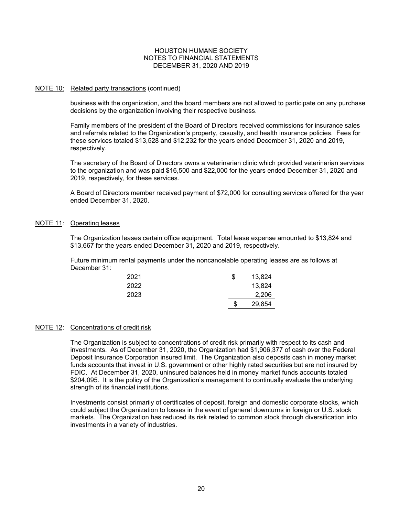# NOTE 10: Related party transactions (continued)

business with the organization, and the board members are not allowed to participate on any purchase decisions by the organization involving their respective business.

Family members of the president of the Board of Directors received commissions for insurance sales and referrals related to the Organization's property, casualty, and health insurance policies. Fees for these services totaled \$13,528 and \$12,232 for the years ended December 31, 2020 and 2019, respectively.

The secretary of the Board of Directors owns a veterinarian clinic which provided veterinarian services to the organization and was paid \$16,500 and \$22,000 for the years ended December 31, 2020 and 2019, respectively, for these services.

A Board of Directors member received payment of \$72,000 for consulting services offered for the year ended December 31, 2020.

# NOTE 11: Operating leases

The Organization leases certain office equipment. Total lease expense amounted to \$13,824 and \$13,667 for the years ended December 31, 2020 and 2019, respectively.

Future minimum rental payments under the noncancelable operating leases are as follows at December 31:

| 2021 | S | 13,824 |
|------|---|--------|
| 2022 |   | 13,824 |
| 2023 |   | 2,206  |
|      | S | 29,854 |

# NOTE 12: Concentrations of credit risk

The Organization is subject to concentrations of credit risk primarily with respect to its cash and investments. As of December 31, 2020, the Organization had \$1,906,377 of cash over the Federal Deposit Insurance Corporation insured limit. The Organization also deposits cash in money market funds accounts that invest in U.S. government or other highly rated securities but are not insured by FDIC. At December 31, 2020, uninsured balances held in money market funds accounts totaled \$204,095. It is the policy of the Organization's management to continually evaluate the underlying strength of its financial institutions.

Investments consist primarily of certificates of deposit, foreign and domestic corporate stocks, which could subject the Organization to losses in the event of general downturns in foreign or U.S. stock markets. The Organization has reduced its risk related to common stock through diversification into investments in a variety of industries.